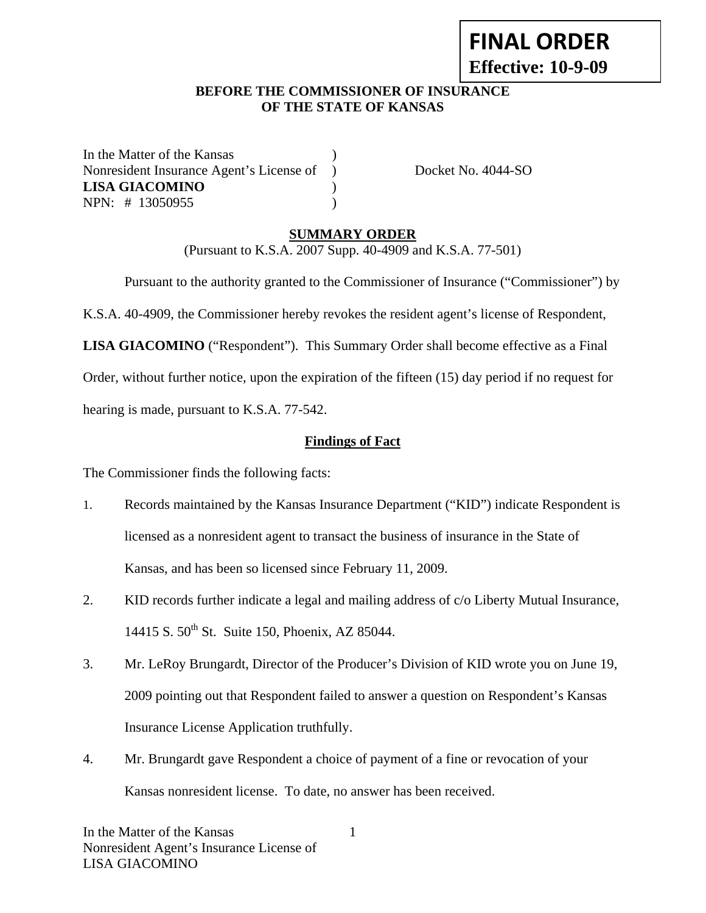# **FINAL ORDER Effective: 10-9-09**

#### **BEFORE THE COMMISSIONER OF INSURANCE OF THE STATE OF KANSAS**

In the Matter of the Kansas Nonresident Insurance Agent's License of ) Docket No. 4044-SO **LISA GIACOMINO** ) NPN: # 13050955 )

#### **SUMMARY ORDER**

(Pursuant to K.S.A. 2007 Supp. 40-4909 and K.S.A. 77-501)

Pursuant to the authority granted to the Commissioner of Insurance ("Commissioner") by

K.S.A. 40-4909, the Commissioner hereby revokes the resident agent's license of Respondent,

**LISA GIACOMINO** ("Respondent"). This Summary Order shall become effective as a Final

Order, without further notice, upon the expiration of the fifteen (15) day period if no request for

hearing is made, pursuant to K.S.A. 77-542.

#### **Findings of Fact**

The Commissioner finds the following facts:

- 1. Records maintained by the Kansas Insurance Department ("KID") indicate Respondent is licensed as a nonresident agent to transact the business of insurance in the State of Kansas, and has been so licensed since February 11, 2009.
- 2. KID records further indicate a legal and mailing address of c/o Liberty Mutual Insurance, 14415 S. 50<sup>th</sup> St. Suite 150, Phoenix, AZ 85044.
- 3. Mr. LeRoy Brungardt, Director of the Producer's Division of KID wrote you on June 19, 2009 pointing out that Respondent failed to answer a question on Respondent's Kansas Insurance License Application truthfully.
- 4. Mr. Brungardt gave Respondent a choice of payment of a fine or revocation of your Kansas nonresident license. To date, no answer has been received.

1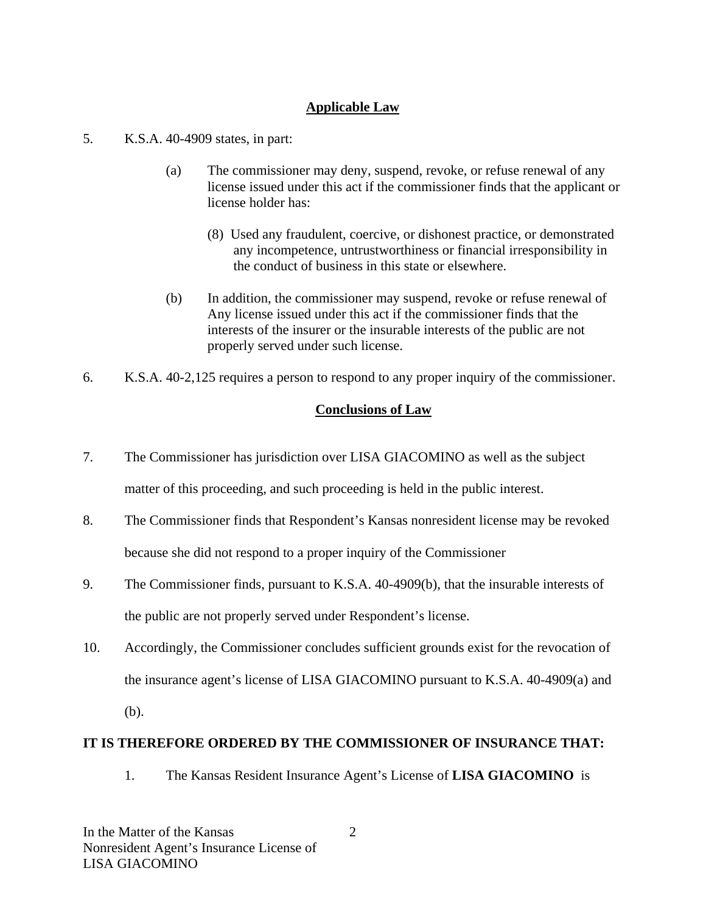## **Applicable Law**

- 5. K.S.A. 40-4909 states, in part:
	- (a) The commissioner may deny, suspend, revoke, or refuse renewal of any license issued under this act if the commissioner finds that the applicant or license holder has:
		- (8) Used any fraudulent, coercive, or dishonest practice, or demonstrated any incompetence, untrustworthiness or financial irresponsibility in the conduct of business in this state or elsewhere.
	- (b) In addition, the commissioner may suspend, revoke or refuse renewal of Any license issued under this act if the commissioner finds that the interests of the insurer or the insurable interests of the public are not properly served under such license.
- 6. K.S.A. 40-2,125 requires a person to respond to any proper inquiry of the commissioner.

## **Conclusions of Law**

- 7. The Commissioner has jurisdiction over LISA GIACOMINO as well as the subject matter of this proceeding, and such proceeding is held in the public interest.
- 8. The Commissioner finds that Respondent's Kansas nonresident license may be revoked because she did not respond to a proper inquiry of the Commissioner
- 9. The Commissioner finds, pursuant to K.S.A. 40-4909(b), that the insurable interests of the public are not properly served under Respondent's license.
- 10. Accordingly, the Commissioner concludes sufficient grounds exist for the revocation of the insurance agent's license of LISA GIACOMINO pursuant to K.S.A. 40-4909(a) and (b).

## **IT IS THEREFORE ORDERED BY THE COMMISSIONER OF INSURANCE THAT:**

1. The Kansas Resident Insurance Agent's License of **LISA GIACOMINO** is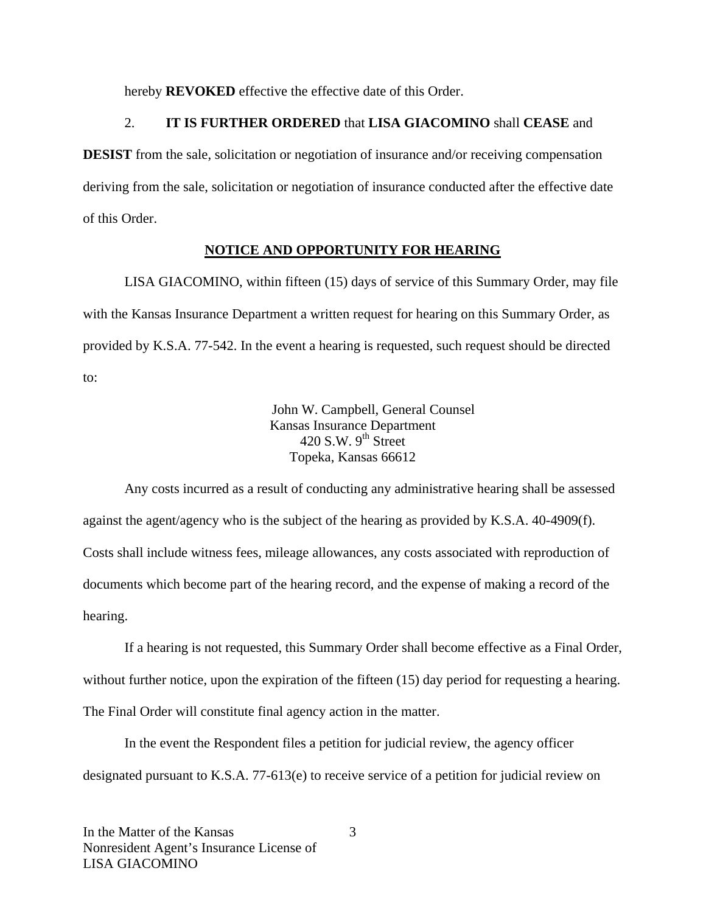hereby **REVOKED** effective the effective date of this Order.

#### 2. **IT IS FURTHER ORDERED** that **LISA GIACOMINO** shall **CEASE** and

**DESIST** from the sale, solicitation or negotiation of insurance and/or receiving compensation deriving from the sale, solicitation or negotiation of insurance conducted after the effective date of this Order.

#### **NOTICE AND OPPORTUNITY FOR HEARING**

LISA GIACOMINO, within fifteen (15) days of service of this Summary Order, may file with the Kansas Insurance Department a written request for hearing on this Summary Order, as provided by K.S.A. 77-542. In the event a hearing is requested, such request should be directed to:

> John W. Campbell, General Counsel Kansas Insurance Department 420 S.W.  $9^{th}$  Street Topeka, Kansas 66612

Any costs incurred as a result of conducting any administrative hearing shall be assessed against the agent/agency who is the subject of the hearing as provided by K.S.A. 40-4909(f). Costs shall include witness fees, mileage allowances, any costs associated with reproduction of documents which become part of the hearing record, and the expense of making a record of the hearing.

If a hearing is not requested, this Summary Order shall become effective as a Final Order, without further notice, upon the expiration of the fifteen (15) day period for requesting a hearing. The Final Order will constitute final agency action in the matter.

In the event the Respondent files a petition for judicial review, the agency officer designated pursuant to K.S.A. 77-613(e) to receive service of a petition for judicial review on